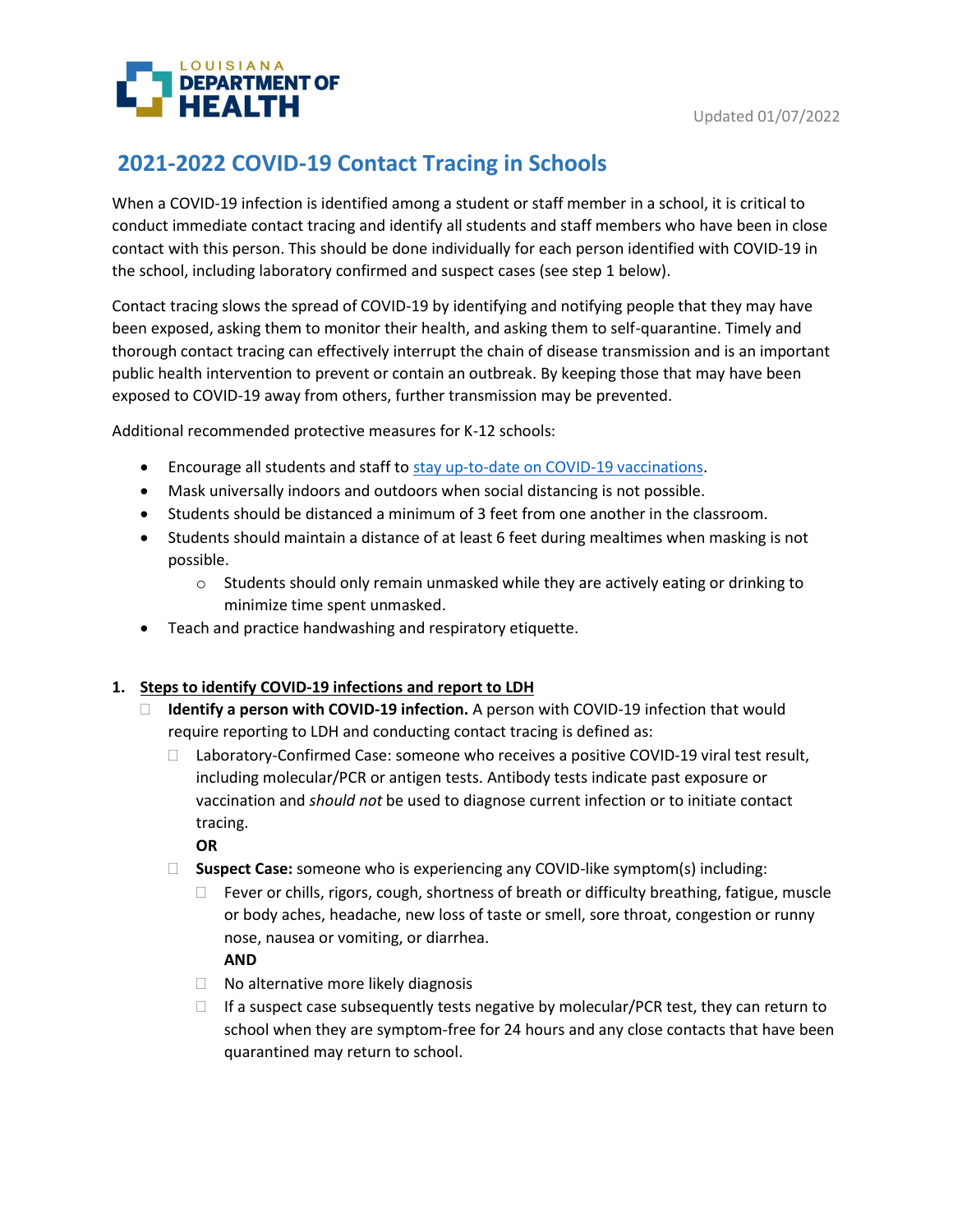

# **2021-2022 COVID-19 Contact Tracing in Schools**

When a COVID-19 infection is identified among a student or staff member in a school, it is critical to conduct immediate contact tracing and identify all students and staff members who have been in close contact with this person. This should be done individually for each person identified with COVID-19 in the school, including laboratory confirmed and suspect cases (see step 1 below).

Contact tracing slows the spread of COVID-19 by identifying and notifying people that they may have been exposed, asking them to monitor their health, and asking them to self-quarantine. Timely and thorough contact tracing can effectively interrupt the chain of disease transmission and is an important public health intervention to prevent or contain an outbreak. By keeping those that may have been exposed to COVID-19 away from others, further transmission may be prevented.

Additional recommended protective measures for K-12 schools:

- Encourage all students and staff to [stay up-to-date on COVID-19 vaccinations.](https://www.cdc.gov/coronavirus/2019-ncov/vaccines/stay-up-to-date.html)
- Mask universally indoors and outdoors when social distancing is not possible.
- Students should be distanced a minimum of 3 feet from one another in the classroom.
- Students should maintain a distance of at least 6 feet during mealtimes when masking is not possible.
	- $\circ$  Students should only remain unmasked while they are actively eating or drinking to minimize time spent unmasked.
- Teach and practice handwashing and respiratory etiquette.

## **1. Steps to identify COVID-19 infections and report to LDH**

- **Identify a person with COVID-19 infection.** A person with COVID-19 infection that would require reporting to LDH and conducting contact tracing is defined as:
	- $\Box$  Laboratory-Confirmed Case: someone who receives a positive COVID-19 viral test result, including molecular/PCR or antigen tests. Antibody tests indicate past exposure or vaccination and *should not* be used to diagnose current infection or to initiate contact tracing.

**OR**

- **Suspect Case:** someone who is experiencing any COVID-like symptom(s) including:
	- $\Box$  Fever or chills, rigors, cough, shortness of breath or difficulty breathing, fatigue, muscle or body aches, headache, new loss of taste or smell, sore throat, congestion or runny nose, nausea or vomiting, or diarrhea.

**AND**

- $\Box$  No alternative more likely diagnosis
- $\Box$  If a suspect case subsequently tests negative by molecular/PCR test, they can return to school when they are symptom-free for 24 hours and any close contacts that have been quarantined may return to school.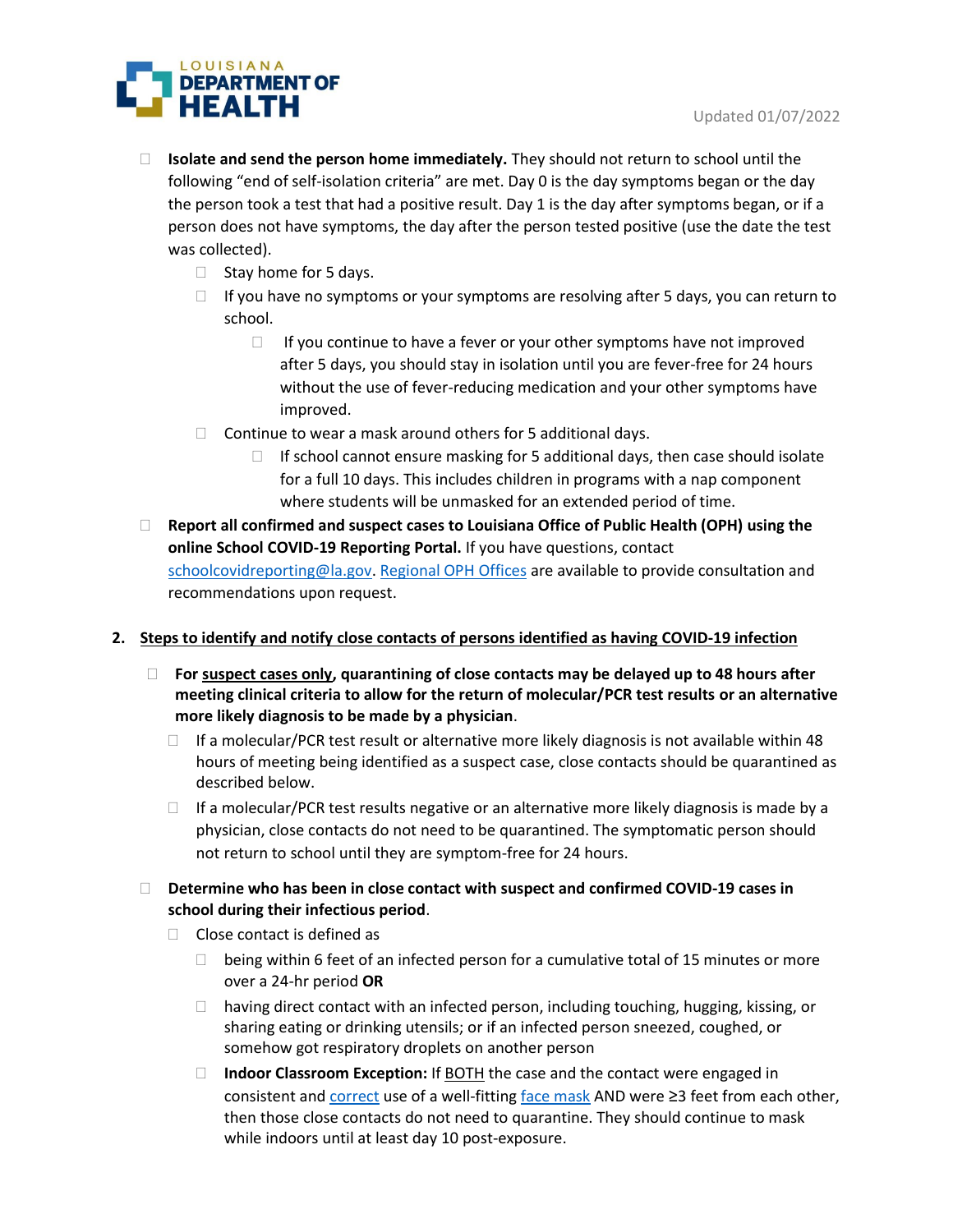

- **Isolate and send the person home immediately.** They should not return to school until the following "end of self-isolation criteria" are met. Day 0 is the day symptoms began or the day the person took a test that had a positive result. Day 1 is the day after symptoms began, or if a person does not have symptoms, the day after the person tested positive (use the date the test was collected).
	- $\Box$  Stay home for 5 days.
	- $\Box$  If you have no symptoms or your symptoms are resolving after 5 days, you can return to school.
		- $\Box$  If you continue to have a fever or your other symptoms have not improved after 5 days, you should stay in isolation until you are fever-free for 24 hours without the use of fever-reducing medication and your other symptoms have improved.
	- $\Box$  Continue to wear a mask around others for 5 additional days.
		- $\Box$  If school cannot ensure masking for 5 additional days, then case should isolate for a full 10 days. This includes children in programs with a nap component where students will be unmasked for an extended period of time.
- **Report all confirmed and suspect cases to Louisiana Office of Public Health (OPH) using the online School COVID-19 Reporting Portal.** If you have questions, contact [schoolcovidreporting@la.gov.](mailto:schoolcovidreporting@la.gov) [Regional OPH Offices](https://ldh.la.gov/index.cfm/directory/category/13) are available to provide consultation and recommendations upon request.

## **2. Steps to identify and notify close contacts of persons identified as having COVID-19 infection**

- **For suspect cases only, quarantining of close contacts may be delayed up to 48 hours after meeting clinical criteria to allow for the return of molecular/PCR test results or an alternative more likely diagnosis to be made by a physician**.
	- $\Box$  If a molecular/PCR test result or alternative more likely diagnosis is not available within 48 hours of meeting being identified as a suspect case, close contacts should be quarantined as described below.
	- $\Box$  If a molecular/PCR test results negative or an alternative more likely diagnosis is made by a physician, close contacts do not need to be quarantined. The symptomatic person should not return to school until they are symptom-free for 24 hours.
- **Determine who has been in close contact with suspect and confirmed COVID-19 cases in school during their infectious period**.
	- $\Box$  Close contact is defined as
		- $\Box$  being within 6 feet of an infected person for a cumulative total of 15 minutes or more over a 24-hr period **OR**
		- $\Box$  having direct contact with an infected person, including touching, hugging, kissing, or sharing eating or drinking utensils; or if an infected person sneezed, coughed, or somehow got respiratory droplets on another person
		- □ **Indoor Classroom Exception:** If **BOTH** the case and the contact were engaged in consistent and  $correct$  use of a well-fitting  $face$  mask AND were  $\geq$ 3 feet from each other,</u></u> then those close contacts do not need to quarantine. They should continue to mask while indoors until at least day 10 post-exposure.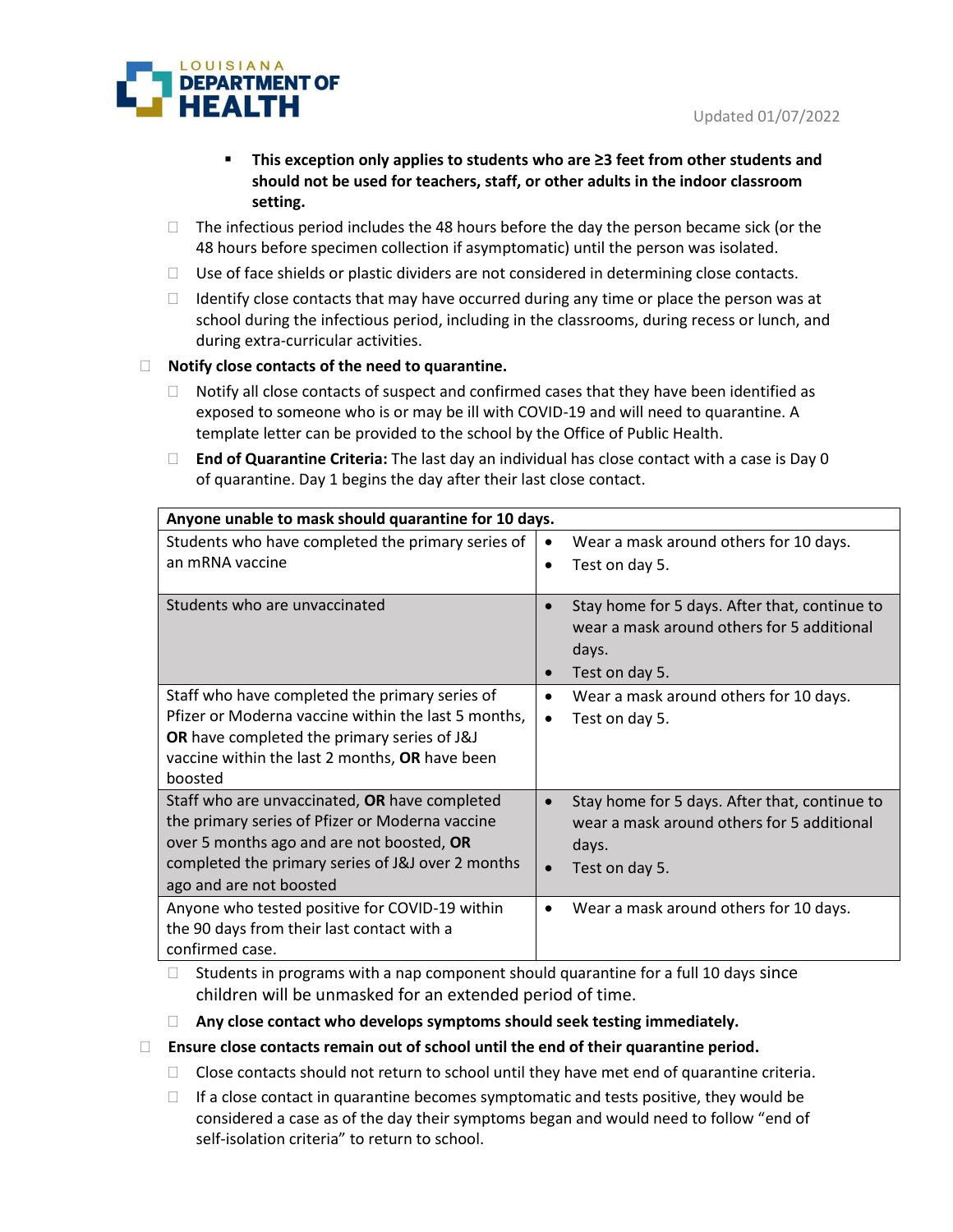

- **This exception only applies to students who are ≥3 feet from other students and should not be used for teachers, staff, or other adults in the indoor classroom setting.**
- $\Box$  The infectious period includes the 48 hours before the day the person became sick (or the 48 hours before specimen collection if asymptomatic) until the person was isolated.
- $\Box$  Use of face shields or plastic dividers are not considered in determining close contacts.
- $\Box$  Identify close contacts that may have occurred during any time or place the person was at school during the infectious period, including in the classrooms, during recess or lunch, and during extra-curricular activities.

## **Notify close contacts of the need to quarantine.**

- $\Box$  Notify all close contacts of suspect and confirmed cases that they have been identified as exposed to someone who is or may be ill with COVID-19 and will need to quarantine. A template letter can be provided to the school by the Office of Public Health.
- **End of Quarantine Criteria:** The last day an individual has close contact with a case is Day 0 of quarantine. Day 1 begins the day after their last close contact.

| Anyone unable to mask should quarantine for 10 days.                                                                                                                                                                          |                                                                                                                                     |
|-------------------------------------------------------------------------------------------------------------------------------------------------------------------------------------------------------------------------------|-------------------------------------------------------------------------------------------------------------------------------------|
| Students who have completed the primary series of<br>an mRNA vaccine                                                                                                                                                          | Wear a mask around others for 10 days.<br>Test on day 5.                                                                            |
| Students who are unvaccinated                                                                                                                                                                                                 | Stay home for 5 days. After that, continue to<br>$\bullet$<br>wear a mask around others for 5 additional<br>days.<br>Test on day 5. |
| Staff who have completed the primary series of<br>Pfizer or Moderna vaccine within the last 5 months,<br>OR have completed the primary series of J&J<br>vaccine within the last 2 months, OR have been<br>boosted             | Wear a mask around others for 10 days.<br>Test on day 5.<br>$\bullet$                                                               |
| Staff who are unvaccinated, OR have completed<br>the primary series of Pfizer or Moderna vaccine<br>over 5 months ago and are not boosted, OR<br>completed the primary series of J&J over 2 months<br>ago and are not boosted | Stay home for 5 days. After that, continue to<br>wear a mask around others for 5 additional<br>days.<br>Test on day 5.              |
| Anyone who tested positive for COVID-19 within<br>the 90 days from their last contact with a<br>confirmed case.                                                                                                               | Wear a mask around others for 10 days.                                                                                              |

 $\Box$  Students in programs with a nap component should quarantine for a full 10 days since children will be unmasked for an extended period of time.

### **Any close contact who develops symptoms should seek testing immediately.**

- **Ensure close contacts remain out of school until the end of their quarantine period.**
	- $\Box$  Close contacts should not return to school until they have met end of quarantine criteria.
	- $\Box$  If a close contact in quarantine becomes symptomatic and tests positive, they would be considered a case as of the day their symptoms began and would need to follow "end of self-isolation criteria" to return to school.